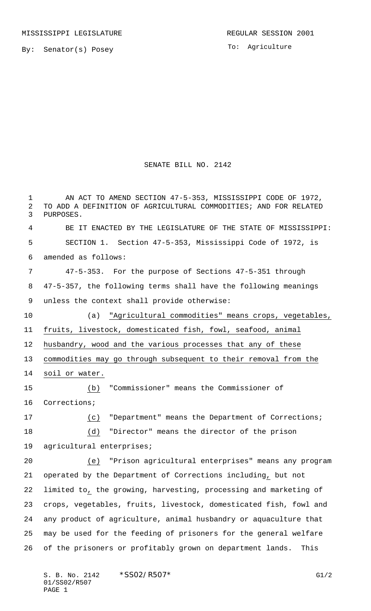To: Agriculture

## SENATE BILL NO. 2142

 AN ACT TO AMEND SECTION 47-5-353, MISSISSIPPI CODE OF 1972, TO ADD A DEFINITION OF AGRICULTURAL COMMODITIES; AND FOR RELATED PURPOSES. BE IT ENACTED BY THE LEGISLATURE OF THE STATE OF MISSISSIPPI: SECTION 1. Section 47-5-353, Mississippi Code of 1972, is amended as follows: 47-5-353. For the purpose of Sections 47-5-351 through 47-5-357, the following terms shall have the following meanings unless the context shall provide otherwise: (a) "Agricultural commodities" means crops, vegetables, fruits, livestock, domesticated fish, fowl, seafood, animal husbandry, wood and the various processes that any of these commodities may go through subsequent to their removal from the soil or water. (b) "Commissioner" means the Commissioner of Corrections; (c) "Department" means the Department of Corrections; (d) "Director" means the director of the prison agricultural enterprises; (e) "Prison agricultural enterprises" means any program operated by the Department of Corrections including, but not limited to, the growing, harvesting, processing and marketing of crops, vegetables, fruits, livestock, domesticated fish, fowl and any product of agriculture, animal husbandry or aquaculture that may be used for the feeding of prisoners for the general welfare of the prisoners or profitably grown on department lands. This